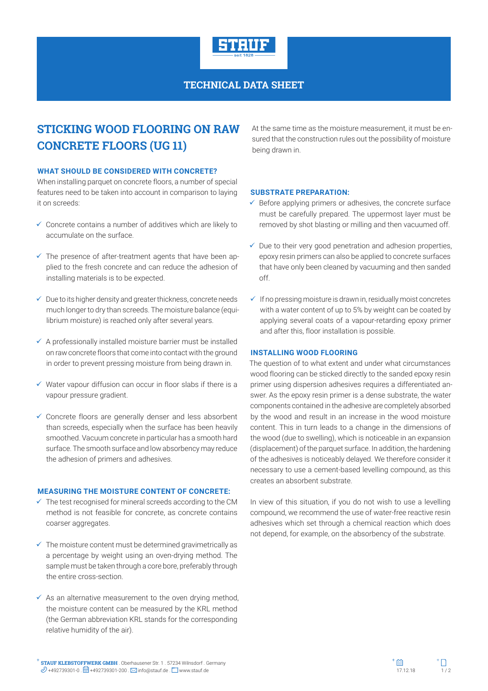

**TECHNICAL DATA SHEET**

# **STICKING WOOD FLOORING ON RAW CONCRETE FLOORS (UG 11)**

#### **WHAT SHOULD BE CONSIDERED WITH CONCRETE?**

When installing parquet on concrete floors, a number of special features need to be taken into account in comparison to laying it on screeds:

- $\checkmark$  Concrete contains a number of additives which are likely to accumulate on the surface.
- $\checkmark$  The presence of after-treatment agents that have been applied to the fresh concrete and can reduce the adhesion of installing materials is to be expected.
- $\checkmark$  Due to its higher density and greater thickness, concrete needs much longer to dry than screeds. The moisture balance (equilibrium moisture) is reached only after several years.
- $\checkmark$  A professionally installed moisture barrier must be installed on raw concrete floors that come into contact with the ground in order to prevent pressing moisture from being drawn in.
- $\checkmark$  Water vapour diffusion can occur in floor slabs if there is a vapour pressure gradient.
- $\checkmark$  Concrete floors are generally denser and less absorbent than screeds, especially when the surface has been heavily smoothed. Vacuum concrete in particular has a smooth hard surface. The smooth surface and low absorbency may reduce the adhesion of primers and adhesives.

#### **MEASURING THE MOISTURE CONTENT OF CONCRETE:**

- $\checkmark$  The test recognised for mineral screeds according to the CM method is not feasible for concrete, as concrete contains coarser aggregates.
- $\checkmark$  The moisture content must be determined gravimetrically as a percentage by weight using an oven-drying method. The sample must be taken through a core bore, preferably through the entire cross-section.
- $\checkmark$  As an alternative measurement to the oven drying method, the moisture content can be measured by the KRL method (the German abbreviation KRL stands for the corresponding relative humidity of the air).

At the same time as the moisture measurement, it must be ensured that the construction rules out the possibility of moisture being drawn in.

#### **SUBSTRATE PREPARATION:**

- $\checkmark$  Before applying primers or adhesives, the concrete surface must be carefully prepared. The uppermost layer must be removed by shot blasting or milling and then vacuumed off.
- $\checkmark$  Due to their very good penetration and adhesion properties, epoxy resin primers can also be applied to concrete surfaces that have only been cleaned by vacuuming and then sanded off.
- $\checkmark$  If no pressing moisture is drawn in, residually moist concretes with a water content of up to 5% by weight can be coated by applying several coats of a vapour-retarding epoxy primer and after this, floor installation is possible.

#### **INSTALLING WOOD FLOORING**

The question of to what extent and under what circumstances wood flooring can be sticked directly to the sanded epoxy resin primer using dispersion adhesives requires a differentiated answer. As the epoxy resin primer is a dense substrate, the water components contained in the adhesive are completely absorbed by the wood and result in an increase in the wood moisture content. This in turn leads to a change in the dimensions of the wood (due to swelling), which is noticeable in an expansion (displacement) of the parquet surface. In addition, the hardening of the adhesives is noticeably delayed. We therefore consider it necessary to use a cement-based levelling compound, as this creates an absorbent substrate.

In view of this situation, if you do not wish to use a levelling compound, we recommend the use of water-free reactive resin adhesives which set through a chemical reaction which does not depend, for example, on the absorbency of the substrate.

**STAUF KLEBSTOFFWERK GMBH** . Oberhausener Str. 1 . 57234 Wilnsdorf . Germany **STAUF KLEBSTOFFWERK GMBH** . Oberhausener Str. 1 . 57234 Wilnsdorf . Germany  $\mathscr{D}$  +492739301-0 .  $\Box$  +492739301-200 .  $\boxtimes$  info@stauf.de .  $\Box$  www.stauf.de .  $\Box$  www.stauf.de .  $\Box$  . 17.12.18 1/ 2